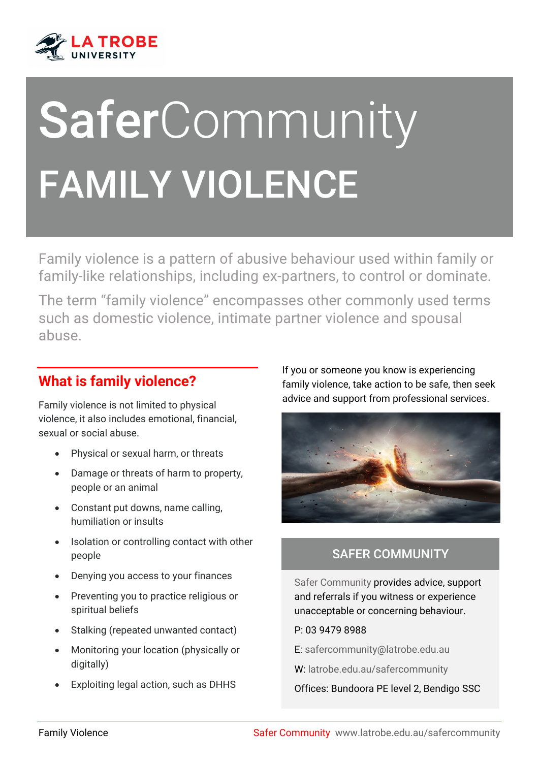

# SaferCommunity FAMILY VIOLENCE

Family violence is a pattern of abusive behaviour used within family or family-like relationships, including ex-partners, to control or dominate.

The term "family violence" encompasses other commonly used terms such as domestic violence, intimate partner violence and spousal abuse.

### **What is family violence?**

Family violence is not limited to physical violence, it also includes emotional, financial, sexual or social abuse.

- Physical or sexual harm, or threats
- Damage or threats of harm to property, people or an animal
- Constant put downs, name calling, humiliation or insults
- Isolation or controlling contact with other people
- Denying you access to your finances
- Preventing you to practice religious or spiritual beliefs
- Stalking (repeated unwanted contact)
- Monitoring your location (physically or digitally)
- Exploiting legal action, such as DHHS

If you or someone you know is experiencing family violence, take action to be safe, then seek advice and support from professional services.

i



#### SAFER COMMUNITY

Safer Community provides advice, support and referrals if you witness or experience unacceptable or concerning behaviour.

- P: 03 9479 8988
- E: [safercommunity@latrobe.edu.au](mailto:safercommunity@latrobe.edu.au)
- W: [latrobe.edu.au/safercommunity](http://www.latrobe.edu.au/safercommunity)

Offices: Bundoora PE level 2, Bendigo SSC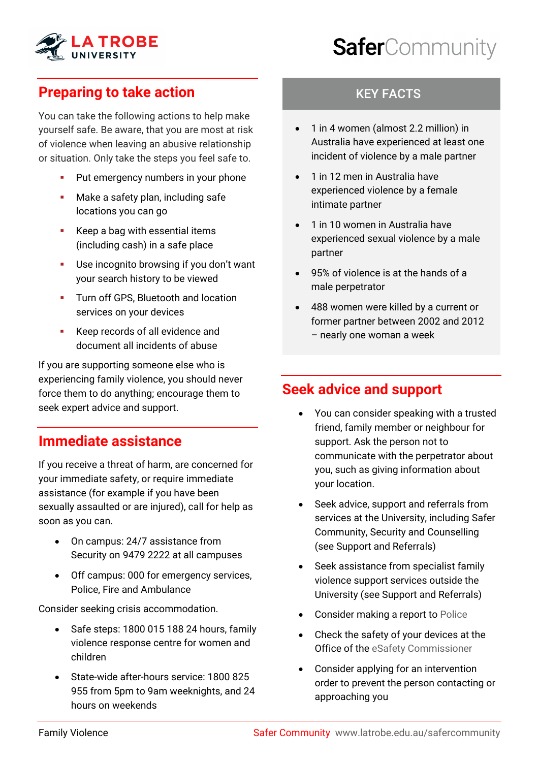

# SaferCommunity

## **Preparing to take action**

You can take the following actions to help make yourself safe. Be aware, that you are most at risk of violence when leaving an abusive relationship or situation. Only take the steps you feel safe to.

- Put emergency numbers in your phone
- Make a safety plan, including safe locations you can go
- Keep a bag with essential items (including cash) in a safe place
- Use incognito browsing if you don't want your search history to be viewed
- **Turn off GPS, Bluetooth and location** services on your devices
- Keep records of all evidence and document all incidents of abuse

If you are supporting someone else who is experiencing family violence, you should never force them to do anything; encourage them to seek expert advice and support.

#### **Immediate assistance**

If you receive a threat of harm, are concerned for your immediate safety, or require immediate assistance (for example if you have been sexually assaulted or are injured), call for help as soon as you can.

- On campus: 24/7 assistance from Security on 9479 2222 at all campuses
- Off campus: 000 for emergency services, Police, Fire and Ambulance

Consider seeking crisis accommodation.

- Safe steps: 1800 015 188 24 hours, family violence response centre for women and children
- State-wide after-hours service: 1800 825 955 from 5pm to 9am weeknights, and 24 hours on weekends

#### KEY FACTS

- 1 in 4 women (almost 2.2 million) in Australia have experienced at least one incident of violence by a male partner
- 1 in 12 men in Australia have experienced violence by a female intimate partner
- 1 in 10 women in Australia have experienced sexual violence by a male partner
- 95% of violence is at the hands of a male perpetrator
- 488 women were killed by a current or former partner between 2002 and 2012 – nearly one woman a week

#### **Seek advice and support**

- You can consider speaking with a trusted friend, family member or neighbour for support. Ask the person not to communicate with the perpetrator about you, such as giving information about your location.
- Seek advice, support and referrals from services at the University, including Safer Community, Security and Counselling (see Support and Referrals)
- Seek assistance from specialist family violence support services outside the University (see Support and Referrals)
- Consider making a report to [Police](https://www.police.vic.gov.au/family-violence#reporting-family-violence-to-police)
- Check the safety of your devices at the Office of the [eSafety Commissioner](https://www.esafety.gov.au/)
- Consider applying for an intervention order to prevent the person contacting or approaching you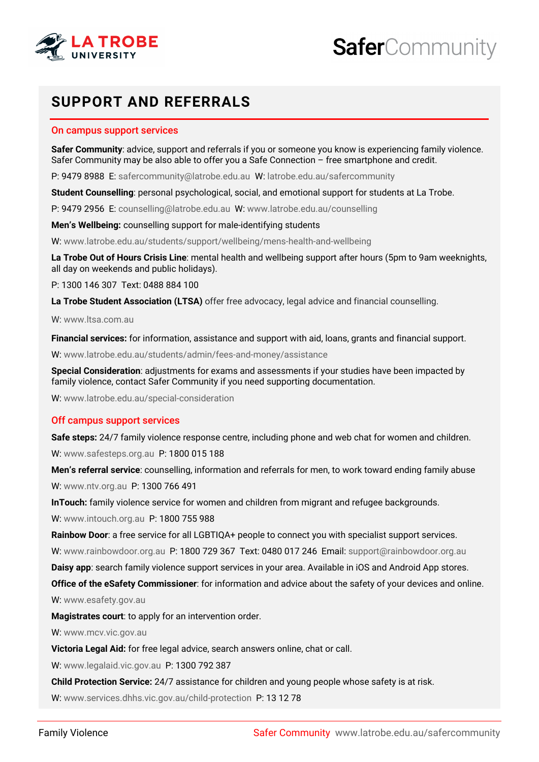



#### **SUPPORT AND REFERRALS**

#### On campus support services

**Safer Community**: advice, support and referrals if you or someone you know is experiencing family violence. Safer Community may be also able to offer you a Safe Connection – free smartphone and credit.

P: 9479 8988 E: [safercommunity@latrobe.edu.au](mailto:safercommunity@latrobe.edu.au) W[: latrobe.edu.au/safercommunity](http://www.latrobe.edu.au/safercommunity)

**Student Counselling**: personal psychological, social, and emotional support for students at La Trobe.

P: 9479 2956 E: [counselling@latrobe.edu.au](mailto:counselling@latrobe.edu.au) W: [www.latrobe.edu.au/counselling](http://www.latrobe.edu.au/counselling)

**Men's Wellbeing:** counselling support for male-identifying students

W[: www.latrobe.edu.au/students/support/wellbeing/mens-health-and-wellbeing](http://www.latrobe.edu.au/students/support/wellbeing/mens-health-and-wellbeing)

**La Trobe Out of Hours Crisis Line**: mental health and wellbeing support after hours (5pm to 9am weeknights, all day on weekends and public holidays).

P: 1300 146 307 Text: 0488 884 100

**La Trobe Student Association (LTSA)** offer free advocacy, legal advice and financial counselling.

W[: www.ltsa.com.au](http://www.ltsa.com.au/)

**Financial services:** for information, assistance and support with aid, loans, grants and financial support.

W[: www.latrobe.edu.au/students/admin/fees-and-money/assistance](http://www.latrobe.edu.au/students/admin/fees-and-money/assistance) 

**Special Consideration**: adjustments for exams and assessments if your studies have been impacted by family violence, contact Safer Community if you need supporting documentation.

W[: www.latrobe.edu.au/special-consideration](https://www.latrobe.edu.au/special-consideration)

#### Off campus support services

**Safe steps:** 24/7 family violence response centre, including phone and web chat for women and children. W[: www.safesteps.org.au](http://www.safesteps.org.au/) P: 1800 015 188

**Men's referral service**: counselling, information and referrals for men, to work toward ending family abuse W[: www.ntv.org.au](http://www.ntv.org.au/) P: 1300 766 491

**InTouch:** family violence service for women and children from migrant and refugee backgrounds.

W[: www.intouch.org.au](http://www.intouch.org.au/) P: 1800 755 988

**Rainbow Door**: a free service for all LGBTIQA+ people to connect you with specialist support services.

W[: www.rainbowdoor.org.au](http://www.rainbowdoor.org.au/) P: 1800 729 367 Text: 0480 017 246 Email: [support@rainbowdoor.org.au](mailto:support@rainbowdoor.org.au) 

**Daisy app**: search family violence support services in your area. Available in iOS and Android App stores.

**Office of the eSafety Commissioner**: for information and advice about the safety of your devices and online.

W[: www.esafety.gov.au](http://www.esafety.gov.au/) 

**Magistrates court**: to apply for an intervention order.

W[: www.mcv.vic.gov.au](http://www.mcv.vic.gov.au/) 

**Victoria Legal Aid:** for free legal advice, search answers online, chat or call.

W[: www.legalaid.vic.gov.au](http://www.legalaid.vic.gov.au/) P: 1300 792 387

**Child Protection Service:** 24/7 assistance for children and young people whose safety is at risk.

W[: www.services.dhhs.vic.gov.au/child-protection](http://www.services.dhhs.vic.gov.au/child-protection) P: 13 12 78